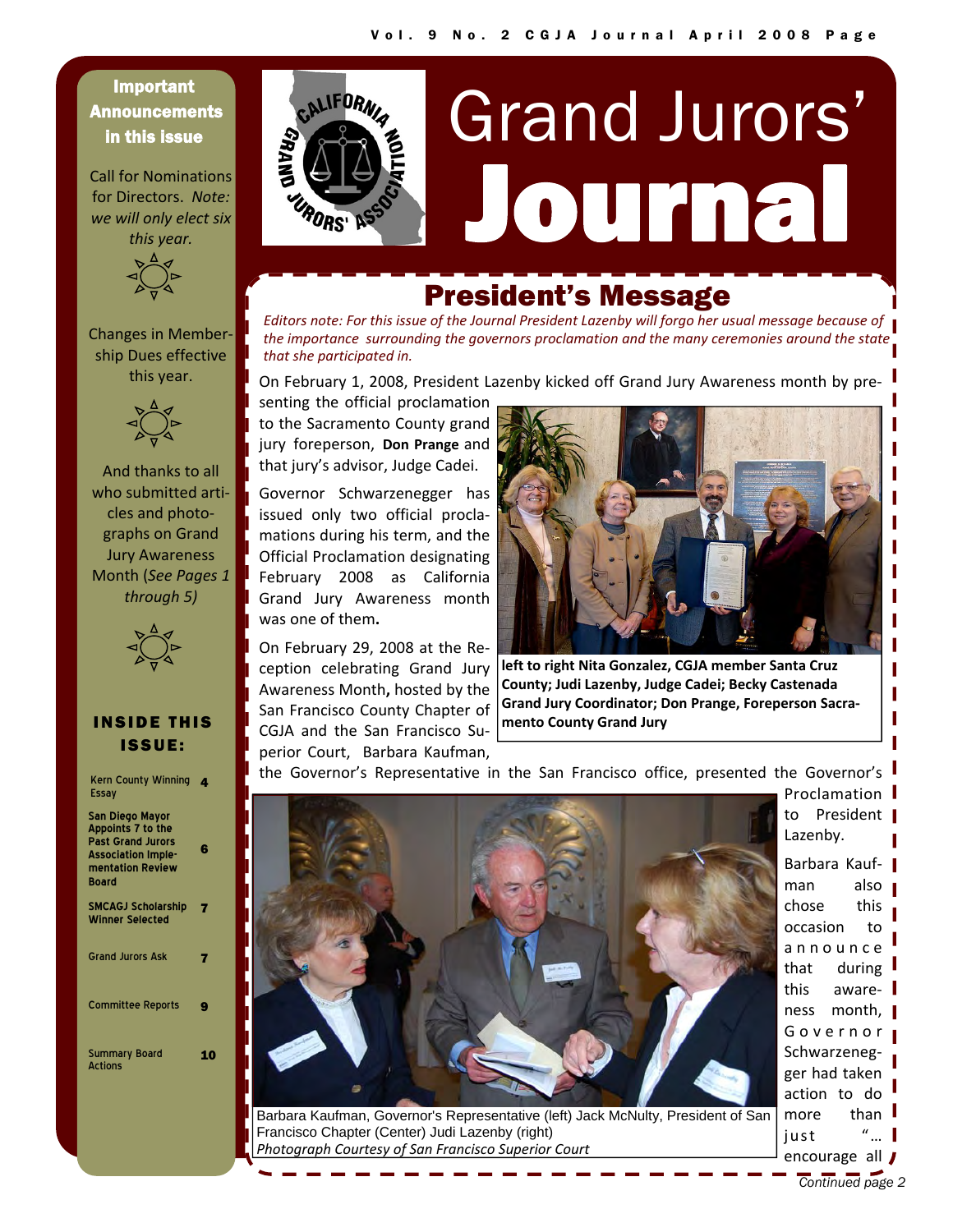#### Important **Announcements** in this issue

Call for Nominations for Directors. *Note: we will only elect six this year.*



Changes in Member‐ ship Dues effective this year.



And thanks to all who submitted articles and photo‐ graphs on Grand Jury Awareness Month (*See Pages 1 through 5)*



#### INSIDE THIS ISSUE:

| <b>Kern County Winning</b><br>Essay                                                                                        |   |
|----------------------------------------------------------------------------------------------------------------------------|---|
| San Diego Mayor<br>Appoints 7 to the<br><b>Past Grand Jurors</b><br><b>Association Imple-</b><br>mentation Review<br>Board | G |
| <b>SMCAGJ Scholarship</b><br><b>Winner Selected</b>                                                                        | 7 |
| <b>Grand Jurors Ask</b>                                                                                                    | 7 |
| <b>Committee Reports</b>                                                                                                   | o |
| <b>Summary Board</b><br><b>Actions</b>                                                                                     |   |



# Journal Grand Jurors'

## President's Message

*Editors note: For this issue of the Journal President Lazenby will forgo her usual message because of the importance surrounding the governors proclamation and the many ceremonies around the state that she participated in.*

On February 1, 2008, President Lazenby kicked off Grand Jury Awareness month by pre‐

senting the official proclamation to the Sacramento County grand jury foreperson, **Don Prange** and that jury's advisor, Judge Cadei.

Governor Schwarzenegger has issued only two official procla‐ mations during his term, and the Official Proclamation designating February 2008 as California Grand Jury Awareness month was one of them**.**

On February 29, 2008 at the Re‐ ception celebrating Grand Jury Awareness Month**,** hosted by the San Francisco County Chapter of CGJA and the San Francisco Su‐ perior Court, Barbara Kaufman,



**left to right Nita Gonzalez, CGJA member Santa Cruz County; Judi Lazenby, Judge Cadei; Becky Castenada Grand Jury Coordinator; Don Prange, Foreperson Sacra‐ mento County Grand Jury**

the Governor's Representative in the San Francisco office, presented the Governor's



Barbara Kaufman, Governor's Representative (left) Jack McNulty, President of San Francisco Chapter (Center) Judi Lazenby (right) *Photograph Courtesy of San Francisco Superior Court*

Proclamation to President | Lazenby.

Barbara Kauf‐ man also chose this occasion to announce that during this aware‐ ness month, Governor Schwarzeneg‐ ger had taken action to do more than  $\blacksquare$ just "… encourage all **J**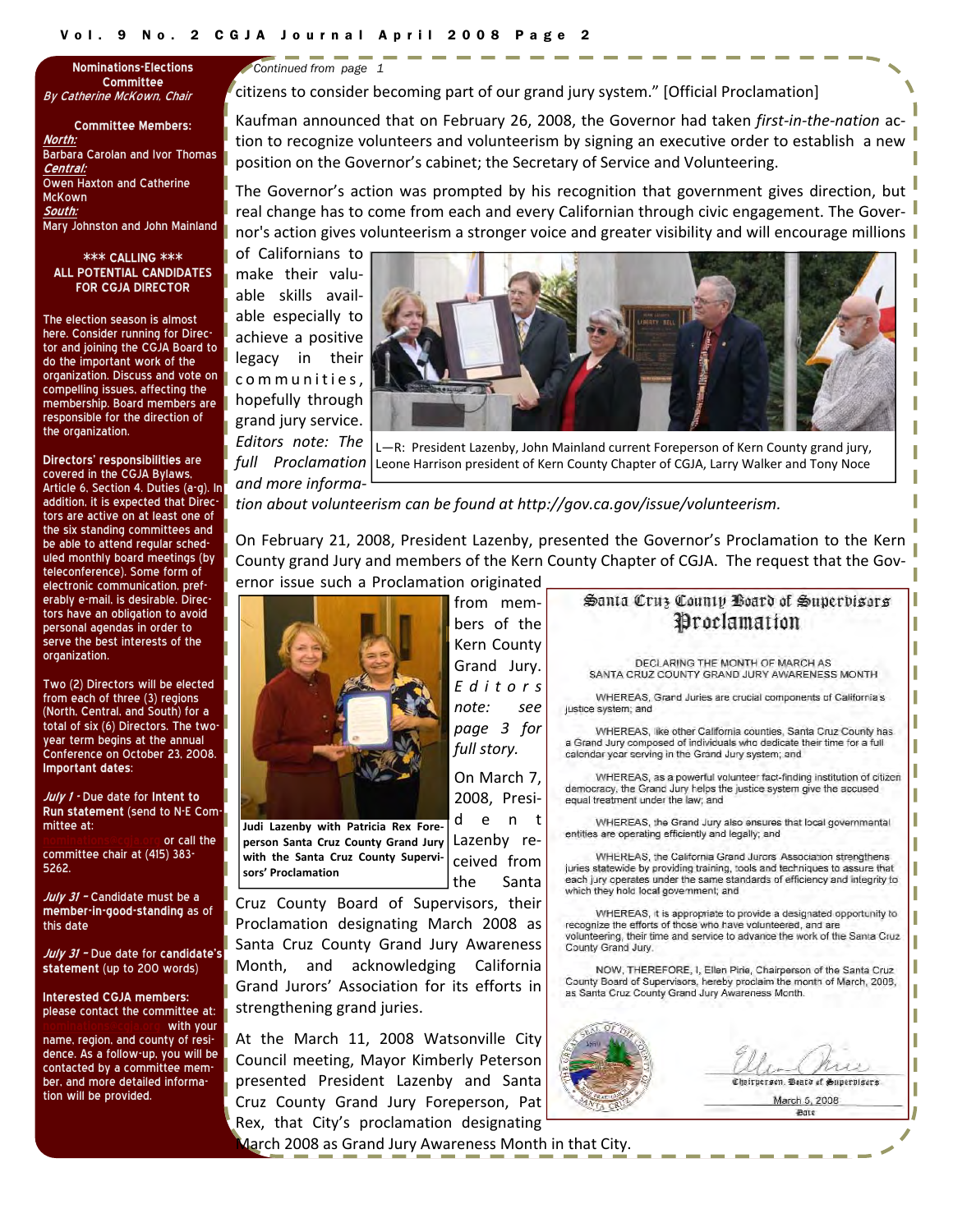**Committee**  By Catherine McKown, Chair

**Committee Members: North:** Barbara Carolan and Ivor Thomas **Central:** Owen Haxton and Catherine McKown **South:** Mary Johnston and John Mainland

#### **\*\*\* CALLING \*\*\* ALL POTENTIAL CANDIDATES FOR CGJA DIRECTOR**

The election season is almost here. Consider running for Director and joining the CGJA Board to do the important work of the organization. Discuss and vote on compelling issues, affecting the membership. Board members are responsible for the direction of the organization.

**Directors' responsibilities** are covered in the CGJA Bylaws, Article 6, Section 4. Duties (a-g). In addition, it is expected that Directors are active on at least one of the six standing committees and be able to attend regular scheduled monthly board meetings (by teleconference). Some form of electronic communication, preferably e-mail, is desirable. Directors have an obligation to avoid personal agendas in order to serve the best interests of the organization.

Two (2) Directors will be elected from each of three (3) regions (North, Central, and South) for a total of six (6) Directors. The twoyear term begins at the annual Conference on October 23, 2008. **Important dates**:

**July <sup>1</sup> -** Due date for **Intent to Run statement** (send to N-E Committee at:

or call the committee chair at (415) 383- 5262.

**July <sup>31</sup> –** Candidate must be a **member-in-good-standing** as of this date

**July <sup>31</sup> –** Due date for **candidate's statement** (up to 200 words)

**Interested CGJA members:** please contact the committee at: with your

name, region, and county of residence. As a follow-up, you will be contacted by a committee member, and more detailed information will be provided.

**Nominations-Elections**  *Continued from page 1* 

citizens to consider becoming part of our grand jury system." [Official Proclamation]

Kaufman announced that on February 26, 2008, the Governor had taken *first‐in‐the‐nation* ac‐ tion to recognize volunteers and volunteerism by signing an executive order to establish a new position on the Governor's cabinet; the Secretary of Service and Volunteering.

The Governor's action was prompted by his recognition that government gives direction, but real change has to come from each and every Californian through civic engagement. The Governor's action gives volunteerism a stronger voice and greater visibility and will encourage millions

of Californians to make their valu‐ able skills avail‐ able especially to achieve a positive legacy in their communities, hopefully through grand jury service. *Editors note: The*

*and more informa‐*



*full Proclamation* L—R: President Lazenby, John Mainland current Foreperson of Kern County grand jury, Leone Harrison president of Kern County Chapter of CGJA, Larry Walker and Tony Noce

*tion about volunteerism can be found at http://gov.ca.gov/issue/volunteerism.*

On February 21, 2008, President Lazenby, presented the Governor's Proclamation to the Kern County grand Jury and members of the Kern County Chapter of CGJA. The request that the Gov‐ ernor issue such a Proclamation originated



the Santa **Judi Lazenby with Patricia Rex Fore‐ person Santa Cruz County Grand Jury with the Santa Cruz County Supervi‐ sors' Proclamation**

from mem‐ bers of the Kern County Grand Jury. *Editors note: see page 3 for full story.*

On March 7, 2008, Presi‐ dent Lazenby re‐ ceived from

Cruz County Board of Supervisors, their Proclamation designating March 2008 as Santa Cruz County Grand Jury Awareness Month, and acknowledging California Grand Jurors' Association for its efforts in strengthening grand juries.

At the March 11, 2008 Watsonville City Council meeting, Mayor Kimberly Peterson presented President Lazenby and Santa Cruz County Grand Jury Foreperson, Pat Rex, that City's proclamation designating

March 2008 as Grand Jury Awareness Month in that City.

#### Santa Cruz County Board of Superbisors Proclamation DECLARING THE MONTH OF MARCH AS SANTA CRUZ COUNTY GRAND JURY AWARENESS MONTH WHEREAS, Grand Juries are crucial components of California's justice system: and WHEREAS, like other California counties, Santa Cruz County has a Grand Jury composed of individuals who dedicate their time for a full calondar year serving in the Grand Jury system; and WHEREAS, as a powerful volunteer fact-finding institution of citizen democracy, the Grand Jury helps the justice system give the accused equal treatment under the law; and WHEREAS, the Grand Jury also ensures that local governmental entities are operating efficiently and legally; and WHEREAS, the California Grand Jurors Association strengthens juries statewide by providing training, tools and techniques to assure that each jury operates under the same standards of efficiency and integrity to which they hold local government; and WHEREAS, it is appropriate to provide a designated opportunity to recognize the efforts of those who have volunteered, and are volunteering, their time and service to advance the work of the Santa Cruz County Grand Jury. NOW, THEREFORE, I, Ellen Pirie, Chairperson of the Santa Cruz County Board of Supervisors, hereby proclaim the month of March, 2005, as Santa Cruz County Grand Jury Awareness Month. Cheirperson. Beato of Superplaces March 5, 2008 Bare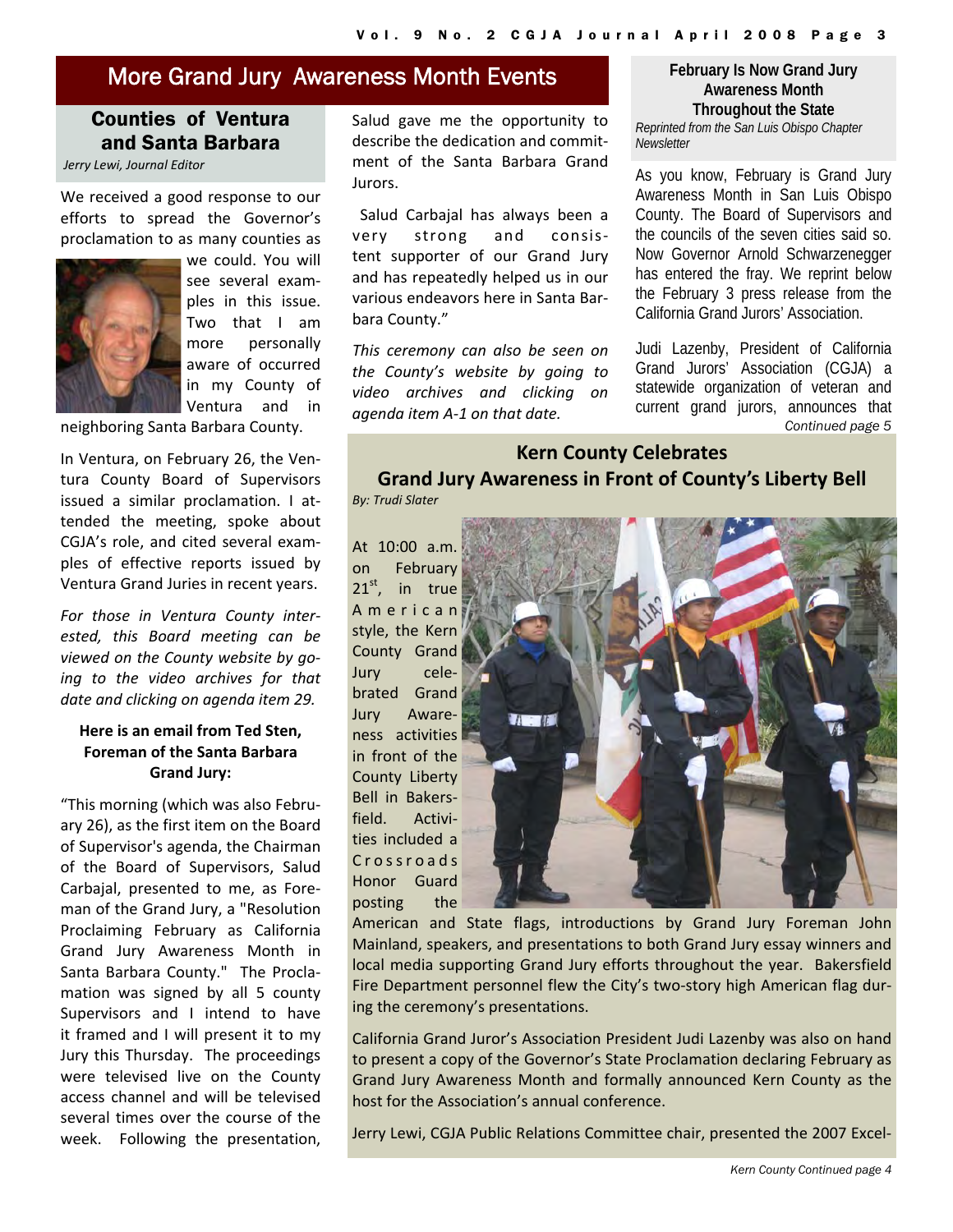#### More Grand Jury Awareness Month Events

#### Counties of Ventura and Santa Barbara

*Jerry Lewi, Journal Editor*

We received a good response to our efforts to spread the Governor's proclamation to as many counties as



we could. You will see several exam‐ ples in this issue. Two that I am more personally aware of occurred in my County of Ventura and in

neighboring Santa Barbara County.

In Ventura, on February 26, the Ven‐ tura County Board of Supervisors issued a similar proclamation. I at‐ tended the meeting, spoke about CGJA's role, and cited several exam‐ ples of effective reports issued by Ventura Grand Juries in recent years.

*For those in Ventura County inter‐ ested, this Board meeting can be viewed on the County website by go‐ ing to the video archives for that date and clicking on agenda item 29.*

#### **Here is an email from Ted Sten, Foreman of the Santa Barbara Grand Jury:**

"This morning (which was also Febru‐ ary 26), as the first item on the Board of Supervisor's agenda, the Chairman of the Board of Supervisors, Salud Carbajal, presented to me, as Fore‐ man of the Grand Jury, a "Resolution Proclaiming February as California Grand Jury Awareness Month in Santa Barbara County." The Proclamation was signed by all 5 county Supervisors and I intend to have it framed and I will present it to my Jury this Thursday. The proceedings were televised live on the County access channel and will be televised several times over the course of the week. Following the presentation, Salud gave me the opportunity to describe the dedication and commit‐ ment of the Santa Barbara Grand Jurors.

Salud Carbajal has always been a very strong and consis‐ tent supporter of our Grand Jury and has repeatedly helped us in our various endeavors here in Santa Bar‐ bara County."

*This ceremony can also be seen on the County's website by going to video archives and clicking on agenda item A‐1 on that date.*

**February Is Now Grand Jury Awareness Month Throughout the State**  *Reprinted from the San Luis Obispo Chapter Newsletter* 

As you know, February is Grand Jury Awareness Month in San Luis Obispo County. The Board of Supervisors and the councils of the seven cities said so. Now Governor Arnold Schwarzenegger has entered the fray. We reprint below the February 3 press release from the California Grand Jurors' Association.

*Continued page 5*  Judi Lazenby, President of California Grand Jurors' Association (CGJA) a statewide organization of veteran and current grand jurors, announces that

### **Kern County Celebrates Grand Jury Awareness in Front of County's Liberty Bell**

*By: Trudi Slater*

At 10:00 a.m. on February  $21<sup>st</sup>$ , in true American style, the Kern County Grand Jury cele‐ brated Grand Awareness activities in front of the County Liberty Bell in Bakers‐ field. Activities included a Crossroads Honor Guard posting the



American and State flags, introductions by Grand Jury Foreman John Mainland, speakers, and presentations to both Grand Jury essay winners and local media supporting Grand Jury efforts throughout the year. Bakersfield Fire Department personnel flew the City's two‐story high American flag dur‐ ing the ceremony's presentations.

California Grand Juror's Association President Judi Lazenby was also on hand to present a copy of the Governor's State Proclamation declaring February as Grand Jury Awareness Month and formally announced Kern County as the host for the Association's annual conference.

Jerry Lewi, CGJA Public Relations Committee chair, presented the 2007 Excel‐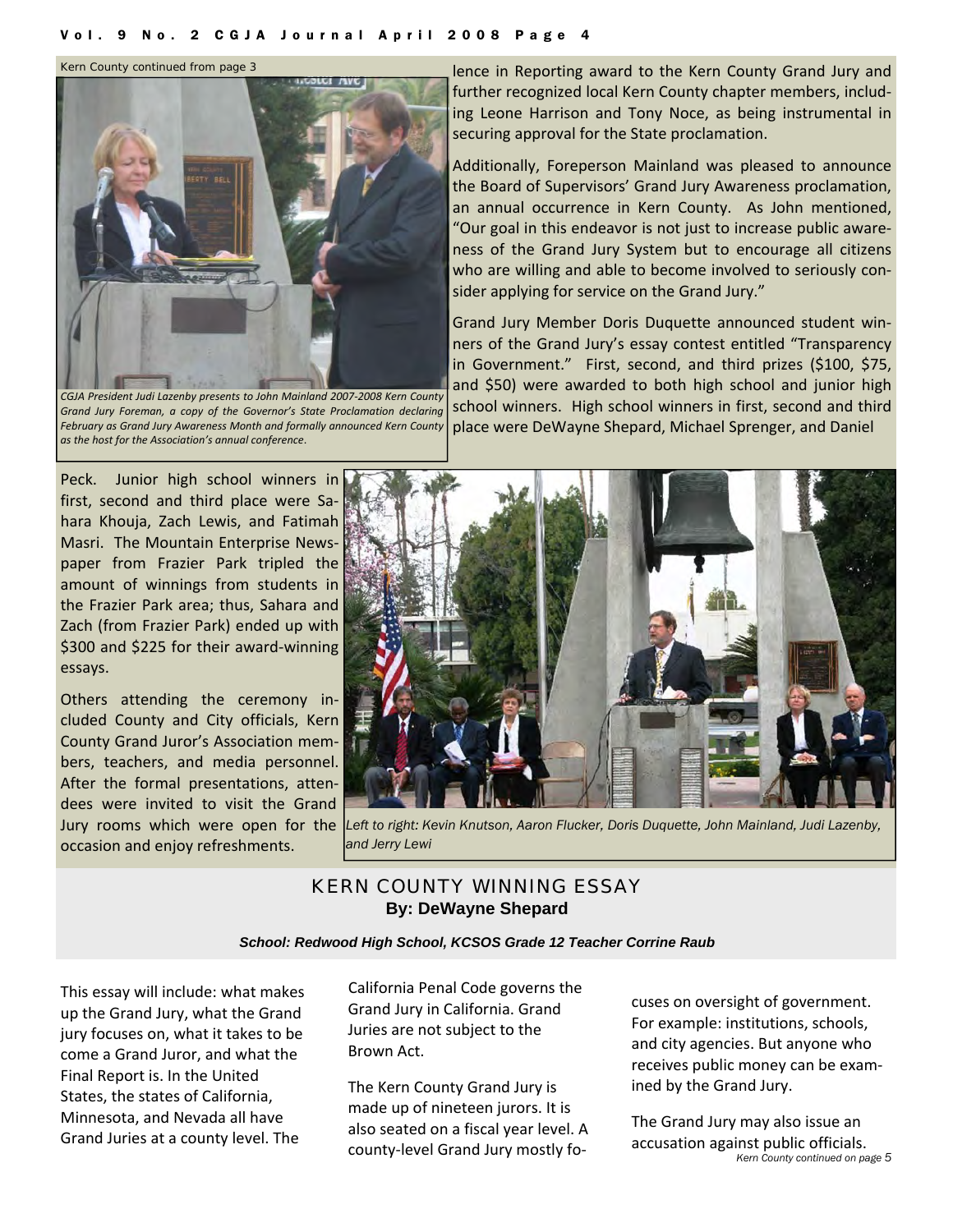*Kern County continued from page 3* 



*CGJA President Judi Lazenby presents to John Mainland 2007‐2008 Kern County Grand Jury Foreman, a copy of the Governor's State Proclamation declaring February as Grand Jury Awareness Month and formally announced Kern County as the host for the Association's annual conference*.

lence in Reporting award to the Kern County Grand Jury and further recognized local Kern County chapter members, includ‐ ing Leone Harrison and Tony Noce, as being instrumental in securing approval for the State proclamation.

Additionally, Foreperson Mainland was pleased to announce the Board of Supervisors' Grand Jury Awareness proclamation, an annual occurrence in Kern County. As John mentioned, "Our goal in this endeavor is not just to increase public aware‐ ness of the Grand Jury System but to encourage all citizens who are willing and able to become involved to seriously consider applying for service on the Grand Jury."

Grand Jury Member Doris Duquette announced student win‐ ners of the Grand Jury's essay contest entitled "Transparency in Government." First, second, and third prizes (\$100, \$75, and \$50) were awarded to both high school and junior high school winners. High school winners in first, second and third place were DeWayne Shepard, Michael Sprenger, and Daniel

Peck. Junior high school winners in first, second and third place were Sa‐ hara Khouja, Zach Lewis, and Fatimah Masri. The Mountain Enterprise News‐ paper from Frazier Park tripled the amount of winnings from students in the Frazier Park area; thus, Sahara and Zach (from Frazier Park) ended up with \$300 and \$225 for their award-winning essays.

Others attending the ceremony in‐ cluded County and City officials, Kern County Grand Juror's Association mem‐ bers, teachers, and media personnel. After the formal presentations, atten‐ dees were invited to visit the Grand occasion and enjoy refreshments.



Jury rooms which were open for the *Left to right: Kevin Knutson, Aaron Flucker, Doris Duquette, John Mainland, Judi Lazenby, and Jerry Lewi* 

#### KERN COUNTY WINNING ESSAY **By: DeWayne Shepard**

*School: Redwood High School, KCSOS Grade 12 Teacher Corrine Raub* 

This essay will include: what makes up the Grand Jury, what the Grand jury focuses on, what it takes to be come a Grand Juror, and what the Final Report is. In the United States, the states of California, Minnesota, and Nevada all have Grand Juries at a county level. The

California Penal Code governs the Grand Jury in California. Grand Juries are not subject to the Brown Act.

The Kern County Grand Jury is made up of nineteen jurors. It is also seated on a fiscal year level. A county‐level Grand Jury mostly fo‐

cuses on oversight of government. For example: institutions, schools, and city agencies. But anyone who receives public money can be exam‐ ined by the Grand Jury.

*Kern County continued on page 5*  The Grand Jury may also issue an accusation against public officials.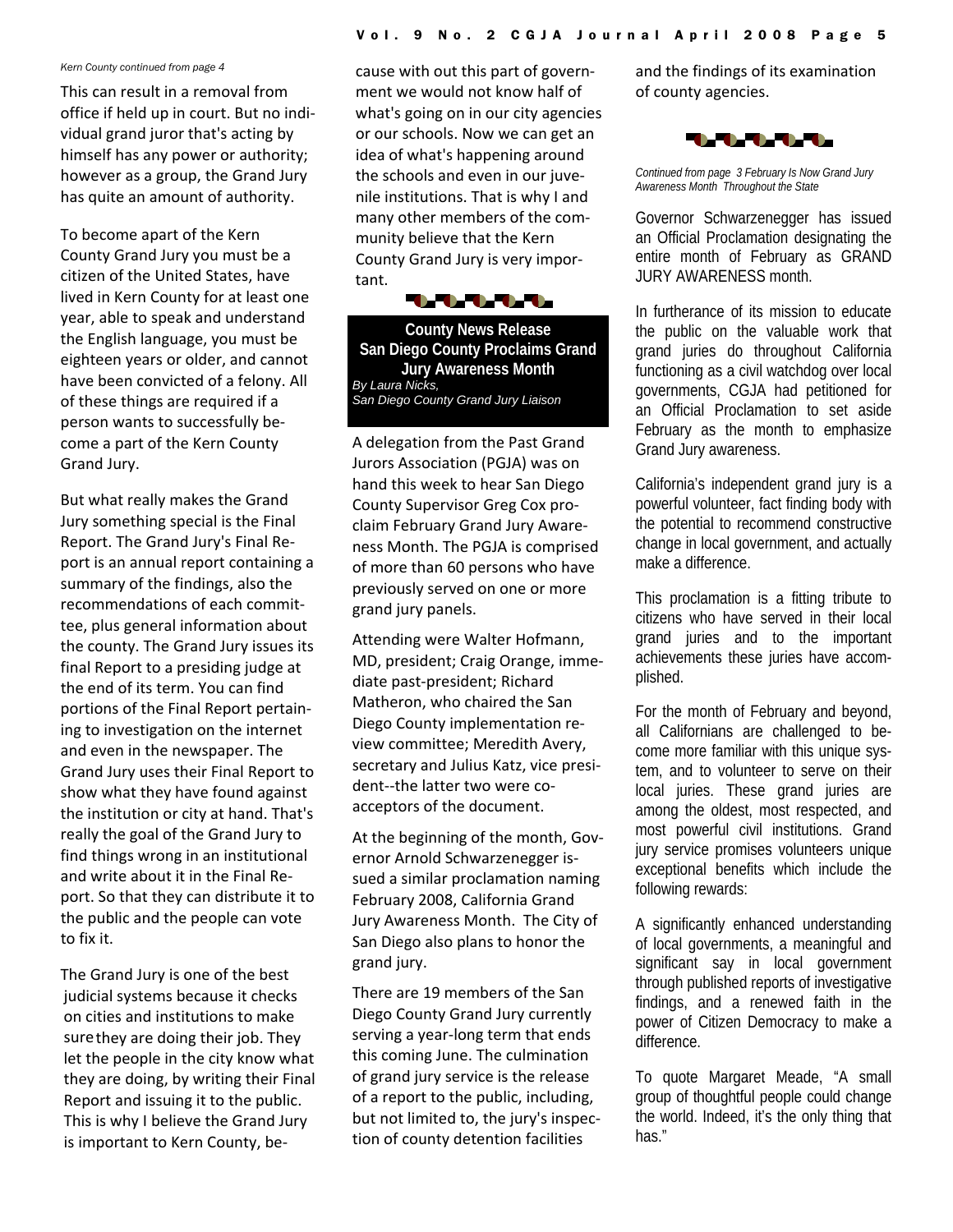#### *Kern County continued from page 4*

This can result in a removal from office if held up in court. But no indi‐ vidual grand juror that's acting by himself has any power or authority; however as a group, the Grand Jury has quite an amount of authority.

To become apart of the Kern County Grand Jury you must be a citizen of the United States, have lived in Kern County for at least one year, able to speak and understand the English language, you must be eighteen years or older, and cannot have been convicted of a felony. All of these things are required if a person wants to successfully be‐ come a part of the Kern County Grand Jury.

But what really makes the Grand Jury something special is the Final Report. The Grand Jury's Final Re‐ port is an annual report containing a summary of the findings, also the recommendations of each commit‐ tee, plus general information about the county. The Grand Jury issues its final Report to a presiding judge at the end of its term. You can find portions of the Final Report pertain‐ ing to investigation on the internet and even in the newspaper. The Grand Jury uses their Final Report to show what they have found against the institution or city at hand. That's really the goal of the Grand Jury to find things wrong in an institutional and write about it in the Final Re‐ port. So that they can distribute it to the public and the people can vote to fix it.

The Grand Jury is one of the best judicial systems because it checks on cities and institutions to make surethey are doing their job. They let the people in the city know what they are doing, by writing their Final Report and issuing it to the public. This is why I believe the Grand Jury is important to Kern County, be‐

cause with out this part of govern‐ ment we would not know half of what's going on in our city agencies or our schools. Now we can get an idea of what's happening around the schools and even in our juve‐ nile institutions. That is why I and many other members of the com‐ munity believe that the Kern County Grand Jury is very impor‐ tant.

**UNUNU** 

**County News Release San Diego County Proclaims Grand Jury Awareness Month**  *By Laura Nicks, San Diego County Grand Jury Liaison* 

A delegation from the Past Grand Jurors Association (PGJA) was on hand this week to hear San Diego County Supervisor Greg Cox pro‐ claim February Grand Jury Aware‐ ness Month. The PGJA is comprised of more than 60 persons who have previously served on one or more grand jury panels.

Attending were Walter Hofmann, MD, president; Craig Orange, imme‐ diate past‐president; Richard Matheron, who chaired the San Diego County implementation re‐ view committee; Meredith Avery, secretary and Julius Katz, vice presi‐ dent‐‐the latter two were co‐ acceptors of the document.

At the beginning of the month, Gov‐ ernor Arnold Schwarzenegger is‐ sued a similar proclamation naming February 2008, California Grand Jury Awareness Month. The City of San Diego also plans to honor the grand jury.

There are 19 members of the San Diego County Grand Jury currently serving a year‐long term that ends this coming June. The culmination of grand jury service is the release of a report to the public, including, but not limited to, the jury's inspec‐ tion of county detention facilities

and the findings of its examination of county agencies.



*Continued from page 3 February Is Now Grand Jury Awareness Month Throughout the State* 

Governor Schwarzenegger has issued an Official Proclamation designating the entire month of February as GRAND JURY AWARENESS month.

In furtherance of its mission to educate the public on the valuable work that grand juries do throughout California functioning as a civil watchdog over local governments, CGJA had petitioned for an Official Proclamation to set aside February as the month to emphasize Grand Jury awareness.

California's independent grand jury is a powerful volunteer, fact finding body with the potential to recommend constructive change in local government, and actually make a difference.

This proclamation is a fitting tribute to citizens who have served in their local grand juries and to the important achievements these juries have accomplished.

For the month of February and beyond, all Californians are challenged to become more familiar with this unique system, and to volunteer to serve on their local juries. These grand juries are among the oldest, most respected, and most powerful civil institutions. Grand jury service promises volunteers unique exceptional benefits which include the following rewards:

A significantly enhanced understanding of local governments, a meaningful and significant say in local government through published reports of investigative findings, and a renewed faith in the power of Citizen Democracy to make a difference.

To quote Margaret Meade, "A small group of thoughtful people could change the world. Indeed, it's the only thing that has."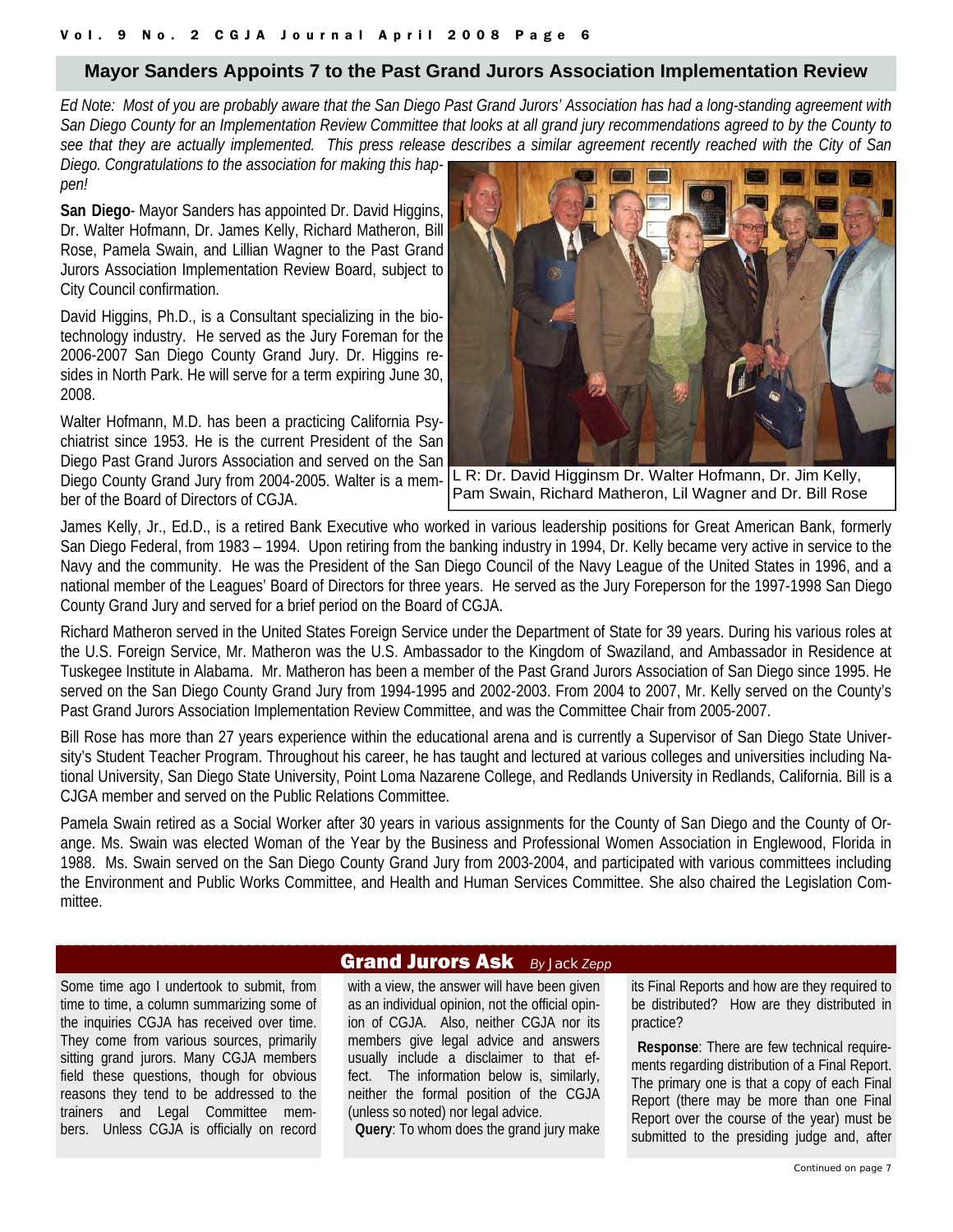#### **Mayor Sanders Appoints 7 to the Past Grand Jurors Association Implementation Review**

*Ed Note: Most of you are probably aware that the San Diego Past Grand Jurors' Association has had a long-standing agreement with San Diego County for an Implementation Review Committee that looks at all grand jury recommendations agreed to by the County to see that they are actually implemented. This press release describes a similar agreement recently reached with the City of San*

*Diego. Congratulations to the association for making this happen!* 

**San Diego**- Mayor Sanders has appointed Dr. David Higgins, Dr. Walter Hofmann, Dr. James Kelly, Richard Matheron, Bill Rose, Pamela Swain, and Lillian Wagner to the Past Grand Jurors Association Implementation Review Board, subject to City Council confirmation.

David Higgins, Ph.D., is a Consultant specializing in the biotechnology industry. He served as the Jury Foreman for the 2006-2007 San Diego County Grand Jury. Dr. Higgins resides in North Park. He will serve for a term expiring June 30, 2008.

Walter Hofmann, M.D. has been a practicing California Psychiatrist since 1953. He is the current President of the San Diego Past Grand Jurors Association and served on the San Diego County Grand Jury from 2004-2005. Walter is a member of the Board of Directors of CGJA.



L R: Dr. David Higginsm Dr. Walter Hofmann, Dr. Jim Kelly, Pam Swain, Richard Matheron, Lil Wagner and Dr. Bill Rose

James Kelly, Jr., Ed.D., is a retired Bank Executive who worked in various leadership positions for Great American Bank, formerly San Diego Federal, from 1983 – 1994. Upon retiring from the banking industry in 1994, Dr. Kelly became very active in service to the Navy and the community. He was the President of the San Diego Council of the Navy League of the United States in 1996, and a national member of the Leagues' Board of Directors for three years. He served as the Jury Foreperson for the 1997-1998 San Diego County Grand Jury and served for a brief period on the Board of CGJA.

Richard Matheron served in the United States Foreign Service under the Department of State for 39 years. During his various roles at the U.S. Foreign Service, Mr. Matheron was the U.S. Ambassador to the Kingdom of Swaziland, and Ambassador in Residence at Tuskegee Institute in Alabama. Mr. Matheron has been a member of the Past Grand Jurors Association of San Diego since 1995. He served on the San Diego County Grand Jury from 1994-1995 and 2002-2003. From 2004 to 2007, Mr. Kelly served on the County's Past Grand Jurors Association Implementation Review Committee, and was the Committee Chair from 2005-2007.

Bill Rose has more than 27 years experience within the educational arena and is currently a Supervisor of San Diego State University's Student Teacher Program. Throughout his career, he has taught and lectured at various colleges and universities including National University, San Diego State University, Point Loma Nazarene College, and Redlands University in Redlands, California. Bill is a CJGA member and served on the Public Relations Committee.

Pamela Swain retired as a Social Worker after 30 years in various assignments for the County of San Diego and the County of Orange. Ms. Swain was elected Woman of the Year by the Business and Professional Women Association in Englewood, Florida in 1988. Ms. Swain served on the San Diego County Grand Jury from 2003-2004, and participated with various committees including the Environment and Public Works Committee, and Health and Human Services Committee. She also chaired the Legislation Committee.

Some time ago I undertook to submit, from time to time, a column summarizing some of the inquiries CGJA has received over time. They come from various sources, primarily sitting grand jurors. Many CGJA members field these questions, though for obvious reasons they tend to be addressed to the trainers and Legal Committee members. Unless CGJA is officially on record

#### Grand Jurors Ask *By Jack Zepp*

with a view, the answer will have been given as an individual opinion, not the official opinion of CGJA. Also, neither CGJA nor its members give legal advice and answers usually include a disclaimer to that effect. The information below is, similarly, neither the formal position of the CGJA (unless so noted) nor legal advice.

**Query**: To whom does the grand jury make

its Final Reports and how are they required to be distributed? How are they distributed in practice?

 **Response**: There are few technical requirements regarding distribution of a Final Report. The primary one is that a copy of each Final Report (there may be more than one Final Report over the course of the year) must be submitted to the presiding judge and, after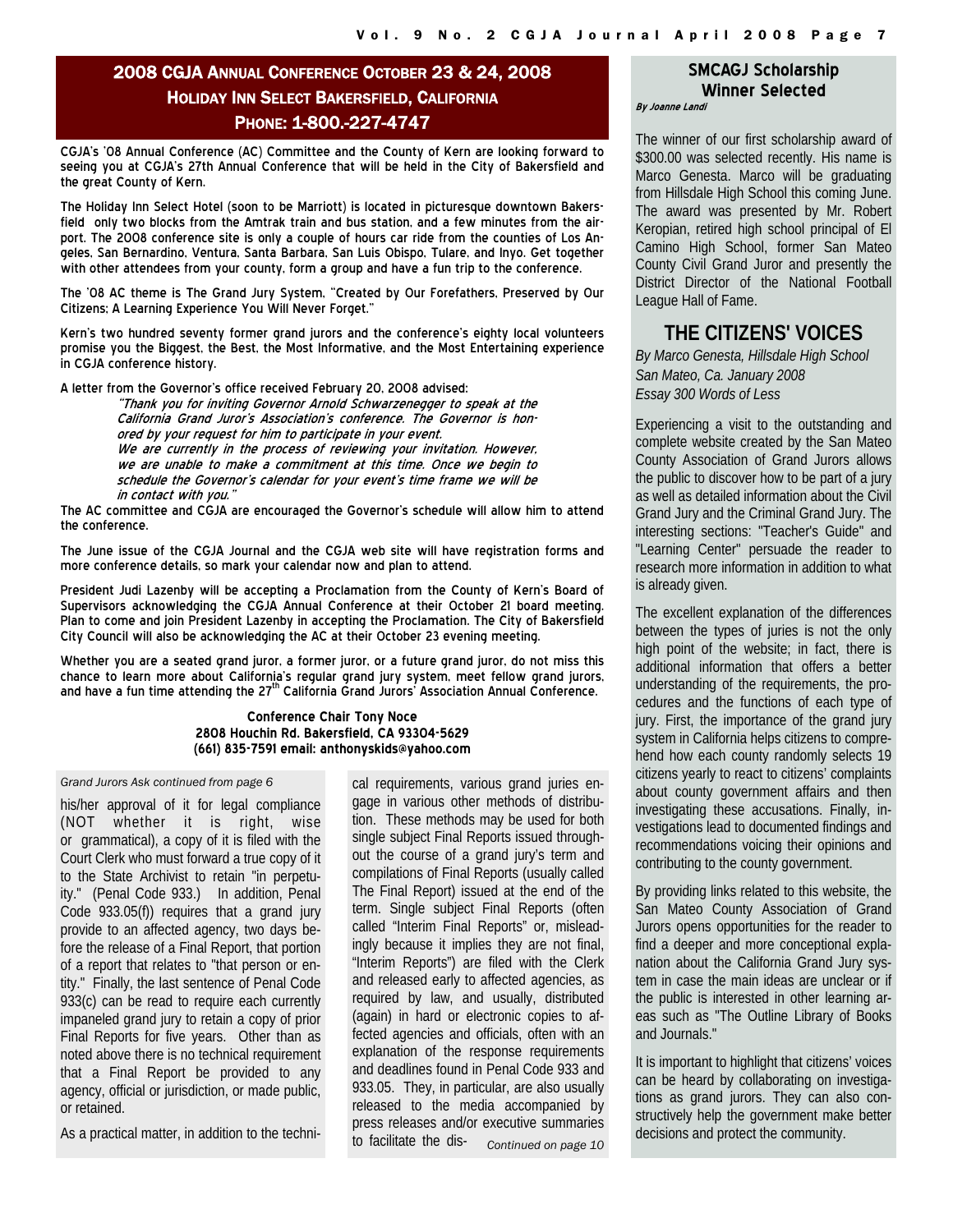#### 2008 CGJA ANNUAL CONFERENCE OCTOBER 23 & 24, 2008 HOLIDAY INN SELECT BAKERSFIELD, CALIFORNIA PHONE: 1-800.-227-4747

CGJA's '08 Annual Conference (AC) Committee and the County of Kern are looking forward to seeing you at CGJA's 27th Annual Conference that will be held in the City of Bakersfield and the great County of Kern.

The Holiday Inn Select Hotel (soon to be Marriott) is located in picturesque downtown Bakersfield only two blocks from the Amtrak train and bus station, and a few minutes from the airport. The 2008 conference site is only a couple of hours car ride from the counties of Los Angeles, San Bernardino, Ventura, Santa Barbara, San Luis Obispo, Tulare, and Inyo. Get together with other attendees from your county, form a group and have a fun trip to the conference.

The '08 AC theme is The Grand Jury System, "Created by Our Forefathers, Preserved by Our Citizens; A Learning Experience You Will Never Forget."

Kern's two hundred seventy former grand jurors and the conference's eighty local volunteers promise you the Biggest, the Best, the Most Informative, and the Most Entertaining experience in CGJA conference history.

A letter from the Governor's office received February 20, 2008 advised:

"Thank you for inviting Governor Arnold Schwarzenegger to speak at the California Grand Juror's Association's conference. The Governor is honored by your request for him to participate in your event. We are currently in the process of reviewing your invitation. However, we are unable to make a commitment at this time. Once we begin to schedule the Governor's calendar for your event's time frame we will be in contact with you."

The AC committee and CGJA are encouraged the Governor's schedule will allow him to attend the conference.

The June issue of the CGJA Journal and the CGJA web site will have registration forms and more conference details, so mark your calendar now and plan to attend.

President Judi Lazenby will be accepting a Proclamation from the County of Kern's Board of Supervisors acknowledging the CGJA Annual Conference at their October 21 board meeting. Plan to come and join President Lazenby in accepting the Proclamation. The City of Bakersfield City Council will also be acknowledging the AC at their October 23 evening meeting.

Whether you are a seated grand juror, a former juror, or a future grand juror, do not miss this chance to learn more about California's regular grand jury system, meet fellow grand jurors, and have a fun time attending the 27<sup>th</sup> California Grand Jurors' Association Annual Conference.

#### **Conference Chair Tony Noce 2808 Houchin Rd. Bakersfield, CA 93304-5629 (661) 835-7591 email: anthonyskids@yahoo.com**

#### *Grand Jurors Ask continued from page 6*

his/her approval of it for legal compliance (NOT whether it is right, wise or grammatical), a copy of it is filed with the Court Clerk who must forward a true copy of it to the State Archivist to retain "in perpetuity." (Penal Code 933.) In addition, Penal Code 933.05(f)) requires that a grand jury provide to an affected agency, two days before the release of a Final Report, that portion of a report that relates to "that person or entity." Finally, the last sentence of Penal Code 933(c) can be read to require each currently impaneled grand jury to retain a copy of prior Final Reports for five years. Other than as noted above there is no technical requirement that a Final Report be provided to any agency, official or jurisdiction, or made public, or retained.

As a practical matter, in addition to the techni-

cal requirements, various grand juries engage in various other methods of distribution. These methods may be used for both single subject Final Reports issued throughout the course of a grand jury's term and compilations of Final Reports (usually called The Final Report) issued at the end of the term. Single subject Final Reports (often called "Interim Final Reports" or, misleadingly because it implies they are not final, "Interim Reports") are filed with the Clerk and released early to affected agencies, as required by law, and usually, distributed (again) in hard or electronic copies to affected agencies and officials, often with an explanation of the response requirements and deadlines found in Penal Code 933 and 933.05. They, in particular, are also usually released to the media accompanied by press releases and/or executive summaries to facilitate the dis- *Continued on page 10* 

#### **SMCAGJ Scholarship Winner Selected By Joanne Landi**

The winner of our first scholarship award of \$300.00 was selected recently. His name is Marco Genesta. Marco will be graduating from Hillsdale High School this coming June. The award was presented by Mr. Robert Keropian, retired high school principal of El Camino High School, former San Mateo County Civil Grand Juror and presently the District Director of the National Football League Hall of Fame.

#### **THE CITIZENS' VOICES**

*By Marco Genesta, Hillsdale High School San Mateo, Ca. January 2008 Essay 300 Words of Less* 

Experiencing a visit to the outstanding and complete website created by the San Mateo County Association of Grand Jurors allows the public to discover how to be part of a jury as well as detailed information about the Civil Grand Jury and the Criminal Grand Jury. The interesting sections: "Teacher's Guide" and "Learning Center" persuade the reader to research more information in addition to what is already given.

The excellent explanation of the differences between the types of juries is not the only high point of the website; in fact, there is additional information that offers a better understanding of the requirements, the procedures and the functions of each type of jury. First, the importance of the grand jury system in California helps citizens to comprehend how each county randomly selects 19 citizens yearly to react to citizens' complaints about county government affairs and then investigating these accusations. Finally, investigations lead to documented findings and recommendations voicing their opinions and contributing to the county government.

By providing links related to this website, the San Mateo County Association of Grand Jurors opens opportunities for the reader to find a deeper and more conceptional explanation about the California Grand Jury system in case the main ideas are unclear or if the public is interested in other learning areas such as "The Outline Library of Books and Journals."

It is important to highlight that citizens' voices can be heard by collaborating on investigations as grand jurors. They can also constructively help the government make better decisions and protect the community.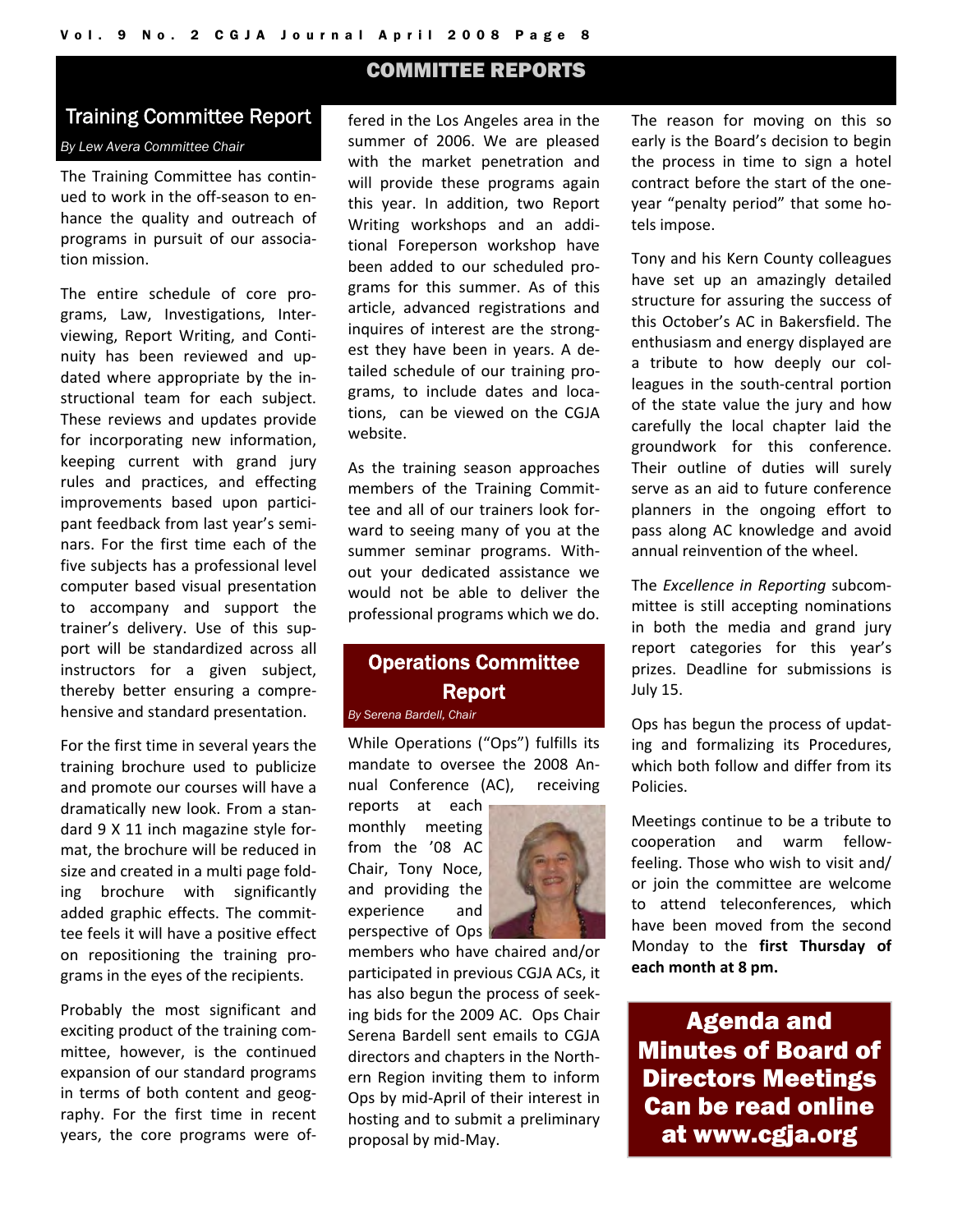#### COMMITTEE REPORTS

#### Training Committee Report

#### *By Lew Avera Committee Chair*

The Training Committee has contin‐ ued to work in the off‐season to en‐ hance the quality and outreach of programs in pursuit of our associa‐ tion mission.

The entire schedule of core pro‐ grams, Law, Investigations, Inter‐ viewing, Report Writing, and Conti‐ nuity has been reviewed and up‐ dated where appropriate by the in‐ structional team for each subject. These reviews and updates provide for incorporating new information, keeping current with grand jury rules and practices, and effecting improvements based upon partici‐ pant feedback from last year's semi‐ nars. For the first time each of the five subjects has a professional level computer based visual presentation to accompany and support the trainer's delivery. Use of this sup‐ port will be standardized across all instructors for a given subject, thereby better ensuring a compre‐ hensive and standard presentation.

For the first time in several years the training brochure used to publicize and promote our courses will have a dramatically new look. From a stan‐ dard 9 X 11 inch magazine style for‐ mat, the brochure will be reduced in size and created in a multi page fold‐ ing brochure with significantly added graphic effects. The commit‐ tee feels it will have a positive effect on repositioning the training pro‐ grams in the eyes of the recipients.

Probably the most significant and exciting product of the training com‐ mittee, however, is the continued expansion of our standard programs in terms of both content and geography. For the first time in recent years, the core programs were of‐

fered in the Los Angeles area in the summer of 2006. We are pleased with the market penetration and will provide these programs again this year. In addition, two Report Writing workshops and an addi‐ tional Foreperson workshop have been added to our scheduled pro‐ grams for this summer. As of this article, advanced registrations and inquires of interest are the strong‐ est they have been in years. A de‐ tailed schedule of our training pro‐ grams, to include dates and loca‐ tions, can be viewed on the CGJA website.

As the training season approaches members of the Training Commit‐ tee and all of our trainers look for‐ ward to seeing many of you at the summer seminar programs. With‐ out your dedicated assistance we would not be able to deliver the professional programs which we do.

### Operations Committee Report

*By Serena Bardell, Chair* 

While Operations ("Ops") fulfills its mandate to oversee the 2008 An‐ nual Conference (AC), receiving

reports at each monthly meeting from the '08 AC Chair, Tony Noce, and providing the experience and perspective of Ops

members who have chaired and/or participated in previous CGJA ACs, it has also begun the process of seek‐ ing bids for the 2009 AC. Ops Chair Serena Bardell sent emails to CGJA directors and chapters in the North‐ ern Region inviting them to inform Ops by mid‐April of their interest in hosting and to submit a preliminary proposal by mid‐May.

The reason for moving on this so early is the Board's decision to begin the process in time to sign a hotel contract before the start of the one‐ year "penalty period" that some ho‐ tels impose.

Tony and his Kern County colleagues have set up an amazingly detailed structure for assuring the success of this October's AC in Bakersfield. The enthusiasm and energy displayed are a tribute to how deeply our col‐ leagues in the south‐central portion of the state value the jury and how carefully the local chapter laid the groundwork for this conference. Their outline of duties will surely serve as an aid to future conference planners in the ongoing effort to pass along AC knowledge and avoid annual reinvention of the wheel.

The *Excellence in Reporting* subcom‐ mittee is still accepting nominations in both the media and grand jury report categories for this year's prizes. Deadline for submissions is July 15.

Ops has begun the process of updat‐ ing and formalizing its Procedures, which both follow and differ from its Policies.

Meetings continue to be a tribute to cooperation and warm fellow‐ feeling. Those who wish to visit and/ or join the committee are welcome to attend teleconferences, which have been moved from the second Monday to the **first Thursday of each month at 8 pm.**

Agenda and Minutes of Board of Directors Meetings Can be read online at www.cgja.org

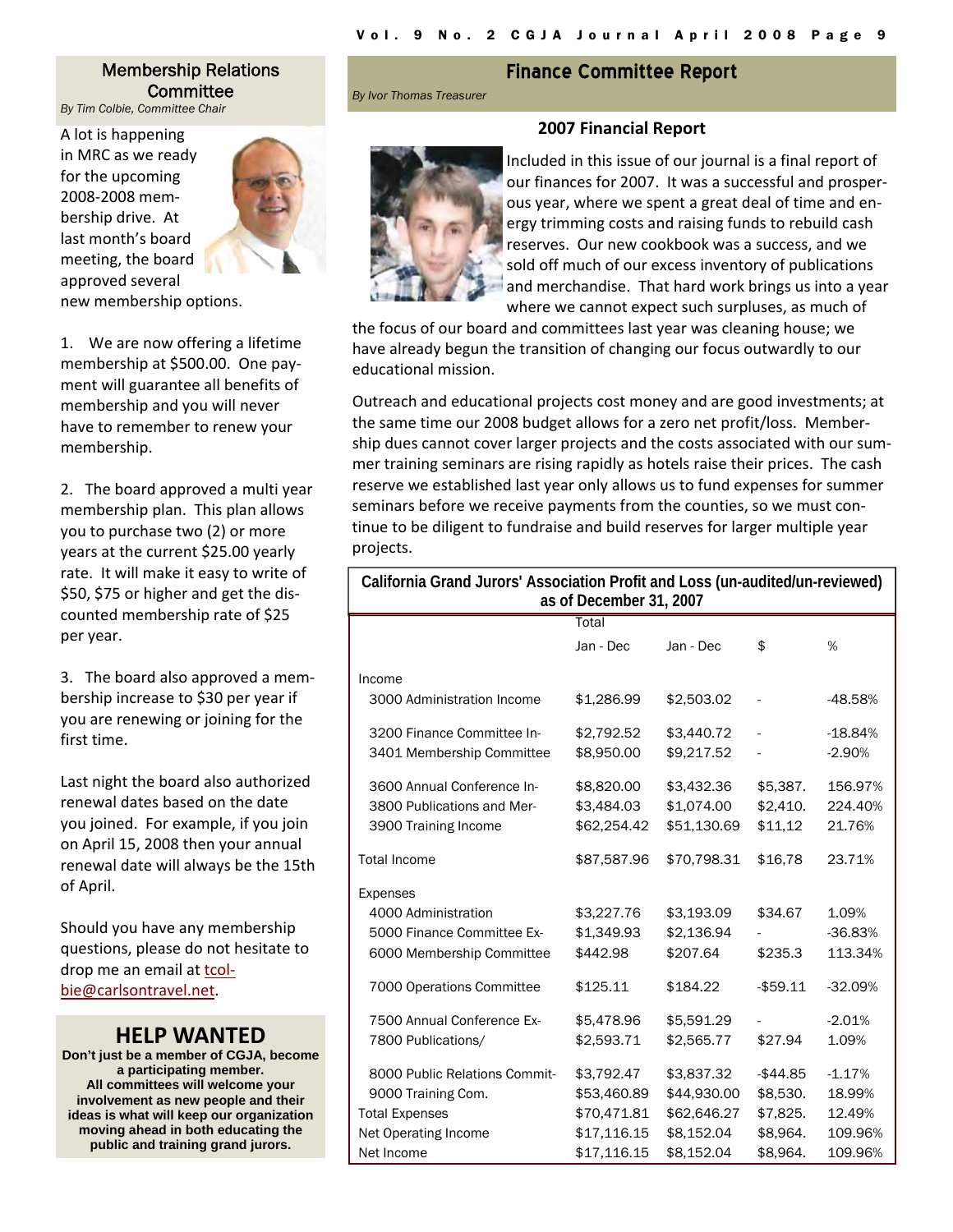#### Membership Relations Committee

*By Tim Colbie, Committee Chair* 

A lot is happening in MRC as we ready for the upcoming 2008‐2008 mem‐ bership drive. At last month's board meeting, the board approved several



new membership options.

1. We are now offering a lifetime membership at \$500.00. One pay‐ ment will guarantee all benefits of membership and you will never have to remember to renew your membership.

2. The board approved a multi year membership plan. This plan allows you to purchase two (2) or more years at the current \$25.00 yearly rate. It will make it easy to write of \$50, \$75 or higher and get the dis‐ counted membership rate of \$25 per year.

3. The board also approved a mem‐ bership increase to \$30 per year if you are renewing or joining for the first time.

Last night the board also authorized renewal dates based on the date you joined. For example, if you join on April 15, 2008 then your annual renewal date will always be the 15th of April.

Should you have any membership questions, please do not hesitate to drop me an email at tcol‐ bie@carlsontravel.net.

#### **HELP WANTED**

**Don't just be a member of CGJA, become a participating member. All committees will welcome your involvement as new people and their ideas is what will keep our organization moving ahead in both educating the public and training grand jurors.** 

#### **Finance Committee Report**

**2007 Financial Report**

*By Ivor Thomas Treasurer* 

Included in this issue of our journal is a final report of our finances for 2007. It was a successful and prosper‐ ous year, where we spent a great deal of time and en‐ ergy trimming costs and raising funds to rebuild cash reserves. Our new cookbook was a success, and we sold off much of our excess inventory of publications and merchandise. That hard work brings us into a year where we cannot expect such surpluses, as much of

the focus of our board and committees last year was cleaning house; we have already begun the transition of changing our focus outwardly to our educational mission.

Outreach and educational projects cost money and are good investments; at the same time our 2008 budget allows for a zero net profit/loss. Member‐ ship dues cannot cover larger projects and the costs associated with our sum‐ mer training seminars are rising rapidly as hotels raise their prices. The cash reserve we established last year only allows us to fund expenses for summer seminars before we receive payments from the counties, so we must continue to be diligent to fundraise and build reserves for larger multiple year projects.

| California Grand Jurors' Association Profit and Loss (un-audited/un-reviewed)<br>as of December 31, 2007 |             |             |             |           |  |  |
|----------------------------------------------------------------------------------------------------------|-------------|-------------|-------------|-----------|--|--|
|                                                                                                          | Total       |             |             |           |  |  |
|                                                                                                          | Jan - Dec   | Jan - Dec   | \$          | %         |  |  |
| Income                                                                                                   |             |             |             |           |  |  |
| 3000 Administration Income                                                                               | \$1,286.99  | \$2,503.02  | ÷           | $-48.58%$ |  |  |
| 3200 Finance Committee In-                                                                               | \$2,792.52  | \$3,440.72  | ÷,          | $-18.84%$ |  |  |
| 3401 Membership Committee                                                                                | \$8,950.00  | \$9,217.52  | ÷,          | $-2.90%$  |  |  |
| 3600 Annual Conference In-                                                                               | \$8,820.00  | \$3,432.36  | \$5,387.    | 156.97%   |  |  |
| 3800 Publications and Mer-                                                                               | \$3,484.03  | \$1,074.00  | \$2,410.    | 224.40%   |  |  |
| 3900 Training Income                                                                                     | \$62,254.42 | \$51,130.69 | \$11,12     | 21.76%    |  |  |
| <b>Total Income</b>                                                                                      | \$87,587.96 | \$70,798.31 | \$16,78     | 23.71%    |  |  |
| Expenses                                                                                                 |             |             |             |           |  |  |
| 4000 Administration                                                                                      | \$3,227.76  | \$3,193.09  | \$34.67     | 1.09%     |  |  |
| 5000 Finance Committee Ex-                                                                               | \$1,349.93  | \$2,136.94  |             | $-36.83%$ |  |  |
| 6000 Membership Committee                                                                                | \$442.98    | \$207.64    | \$235.3     | 113.34%   |  |  |
| 7000 Operations Committee                                                                                | \$125.11    | \$184.22    | $-$ \$59.11 | $-32.09%$ |  |  |
| 7500 Annual Conference Ex-                                                                               | \$5,478.96  | \$5,591.29  |             | $-2.01%$  |  |  |
| 7800 Publications/                                                                                       | \$2,593.71  | \$2,565.77  | \$27.94     | 1.09%     |  |  |
| 8000 Public Relations Commit-                                                                            | \$3,792.47  | \$3,837.32  | $-$ \$44.85 | $-1.17%$  |  |  |
| 9000 Training Com.                                                                                       | \$53,460.89 | \$44,930.00 | \$8,530.    | 18.99%    |  |  |
| <b>Total Expenses</b>                                                                                    | \$70,471.81 | \$62,646.27 | \$7,825.    | 12.49%    |  |  |
| Net Operating Income                                                                                     | \$17,116.15 | \$8,152.04  | \$8,964.    | 109.96%   |  |  |
| Net Income                                                                                               | \$17,116.15 | \$8,152.04  | \$8,964.    | 109.96%   |  |  |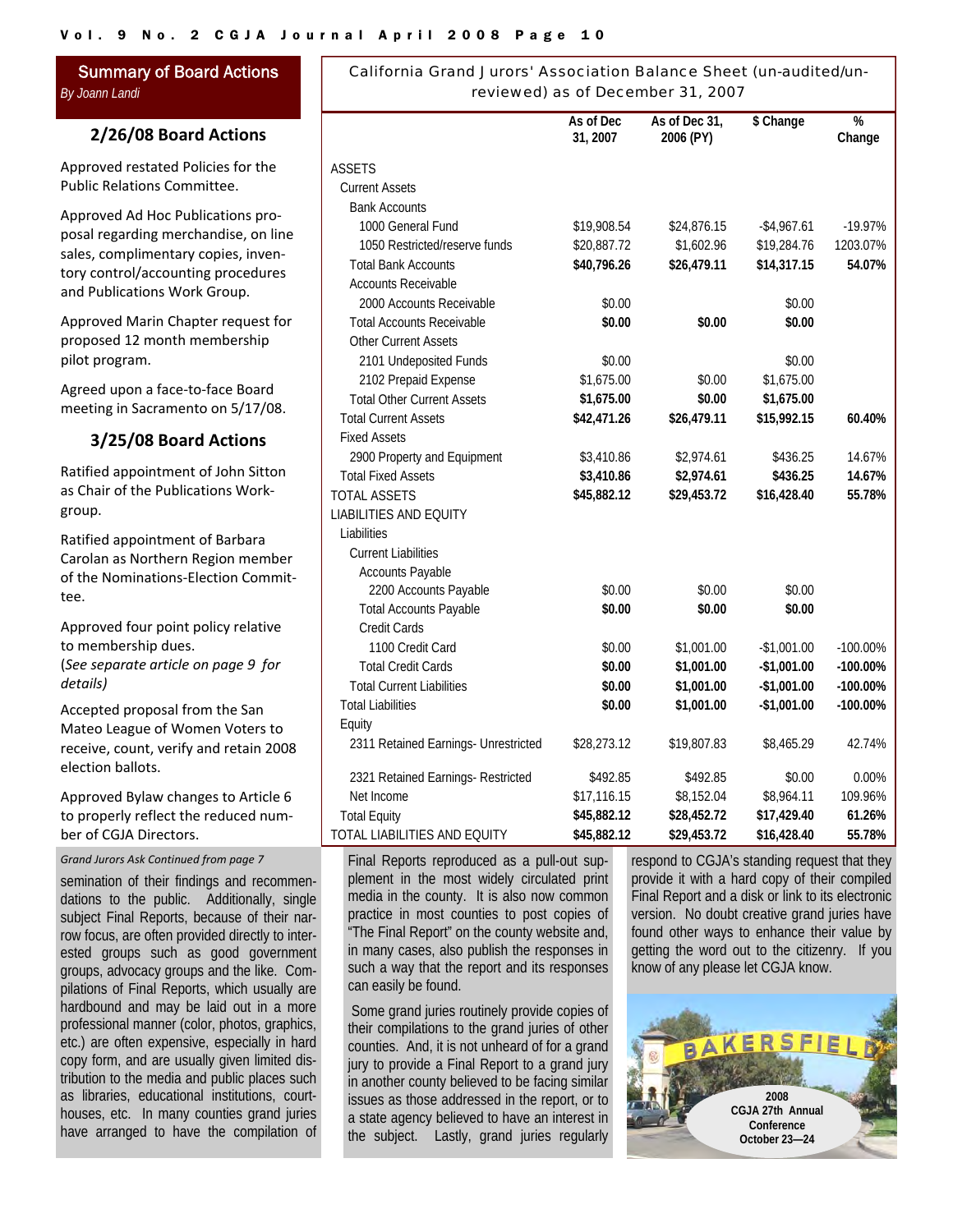Summary of Board Actions *By Joann Landi* 

#### **2/26/08 Board Actions**

Approved restated Policies for the Public Relations Committee.

Approved Ad Hoc Publications pro‐ posal regarding merchandise, on line sales, complimentary copies, inventory control/accounting procedures and Publications Work Group.

Approved Marin Chapter request for proposed 12 month membership pilot program.

Agreed upon a face‐to‐face Board meeting in Sacramento on 5/17/08.

#### **3/25/08 Board Actions**

Ratified appointment of John Sitton as Chair of the Publications Work‐ group.

Ratified appointment of Barbara Carolan as Northern Region member of the Nominations‐Election Commit‐ tee.

Approved four point policy relative to membership dues. (*See separate article on page 9 for details)*

Accepted proposal from the San Mateo League of Women Voters to receive, count, verify and retain 2008 election ballots.

Approved Bylaw changes to Article 6 to properly reflect the reduced num‐ ber of CGJA Directors.

*Grand Jurors Ask Continued from page 7*

semination of their findings and recommendations to the public. Additionally, single subject Final Reports, because of their narrow focus, are often provided directly to interested groups such as good government groups, advocacy groups and the like. Compilations of Final Reports, which usually are hardbound and may be laid out in a more professional manner (color, photos, graphics, etc.) are often expensive, especially in hard copy form, and are usually given limited distribution to the media and public places such as libraries, educational institutions, courthouses, etc. In many counties grand juries have arranged to have the compilation of

| reviewed) as of December 31, 2007    |                       |                            |              |                         |  |
|--------------------------------------|-----------------------|----------------------------|--------------|-------------------------|--|
|                                      | As of Dec<br>31, 2007 | As of Dec 31,<br>2006 (PY) | \$ Change    | $\frac{9}{6}$<br>Change |  |
| ASSETS                               |                       |                            |              |                         |  |
| <b>Current Assets</b>                |                       |                            |              |                         |  |
| <b>Bank Accounts</b>                 |                       |                            |              |                         |  |
| 1000 General Fund                    | \$19,908.54           | \$24,876.15                | $-$4,967.61$ | $-19.97%$               |  |
| 1050 Restricted/reserve funds        | \$20,887.72           | \$1,602.96                 | \$19,284.76  | 1203.07%                |  |
| <b>Total Bank Accounts</b>           | \$40,796.26           | \$26,479.11                | \$14,317.15  | 54.07%                  |  |
| <b>Accounts Receivable</b>           |                       |                            |              |                         |  |
| 2000 Accounts Receivable             | \$0.00                |                            | \$0.00       |                         |  |
| <b>Total Accounts Receivable</b>     | \$0.00                | \$0.00                     | \$0.00       |                         |  |
| <b>Other Current Assets</b>          |                       |                            |              |                         |  |
| 2101 Undeposited Funds               | \$0.00                |                            | \$0.00       |                         |  |
| 2102 Prepaid Expense                 | \$1,675.00            | \$0.00                     | \$1,675.00   |                         |  |
| <b>Total Other Current Assets</b>    | \$1,675.00            | \$0.00                     | \$1,675.00   |                         |  |
| <b>Total Current Assets</b>          | \$42,471.26           | \$26,479.11                | \$15,992.15  | 60.40%                  |  |
| <b>Fixed Assets</b>                  |                       |                            |              |                         |  |
| 2900 Property and Equipment          | \$3,410.86            | \$2,974.61                 | \$436.25     | 14.67%                  |  |
| <b>Total Fixed Assets</b>            | \$3,410.86            | \$2,974.61                 | \$436.25     | 14.67%                  |  |
| <b>TOTAL ASSETS</b>                  | \$45,882.12           | \$29,453.72                | \$16,428.40  | 55.78%                  |  |
| <b>LIABILITIES AND EQUITY</b>        |                       |                            |              |                         |  |
| Liabilities                          |                       |                            |              |                         |  |
| <b>Current Liabilities</b>           |                       |                            |              |                         |  |
| Accounts Payable                     |                       |                            |              |                         |  |
| 2200 Accounts Payable                | \$0.00                | \$0.00                     | \$0.00       |                         |  |
| <b>Total Accounts Payable</b>        | \$0.00                | \$0.00                     | \$0.00       |                         |  |
| Credit Cards                         |                       |                            |              |                         |  |
| 1100 Credit Card                     | \$0.00                | \$1,001.00                 | $-$1,001.00$ | $-100.00\%$             |  |
| <b>Total Credit Cards</b>            | \$0.00                | \$1,001.00                 | $-$1,001.00$ | $-100.00\%$             |  |
| <b>Total Current Liabilities</b>     | \$0.00                | \$1,001.00                 | $-$1,001.00$ | $-100.00\%$             |  |
| <b>Total Liabilities</b>             | \$0.00                | \$1,001.00                 | $-$1,001.00$ | -100.00%                |  |
| Equity                               |                       |                            |              |                         |  |
| 2311 Retained Earnings- Unrestricted | \$28,273.12           | \$19,807.83                | \$8,465.29   | 42.74%                  |  |
| 2321 Retained Earnings- Restricted   | \$492.85              | \$492.85                   | \$0.00       | 0.00%                   |  |
| Net Income                           | \$17,116.15           | \$8,152.04                 | \$8,964.11   | 109.96%                 |  |
| <b>Total Equity</b>                  | \$45,882.12           | \$28,452.72                | \$17,429.40  | 61.26%                  |  |
| TOTAL LIABILITIES AND EQUITY         | \$45,882.12           | \$29,453.72                | \$16,428.40  | 55.78%                  |  |

Final Reports reproduced as a pull-out supplement in the most widely circulated print media in the county. It is also now common practice in most counties to post copies of "The Final Report" on the county website and, in many cases, also publish the responses in such a way that the report and its responses can easily be found.

 Some grand juries routinely provide copies of their compilations to the grand juries of other counties. And, it is not unheard of for a grand jury to provide a Final Report to a grand jury in another county believed to be facing similar issues as those addressed in the report, or to a state agency believed to have an interest in the subject. Lastly, grand juries regularly

respond to CGJA's standing request that they provide it with a hard copy of their compiled Final Report and a disk or link to its electronic version. No doubt creative grand juries have found other ways to enhance their value by getting the word out to the citizenry. If you know of any please let CGJA know.



# California Grand Jurors' Association Balance Sheet (un-audited/un-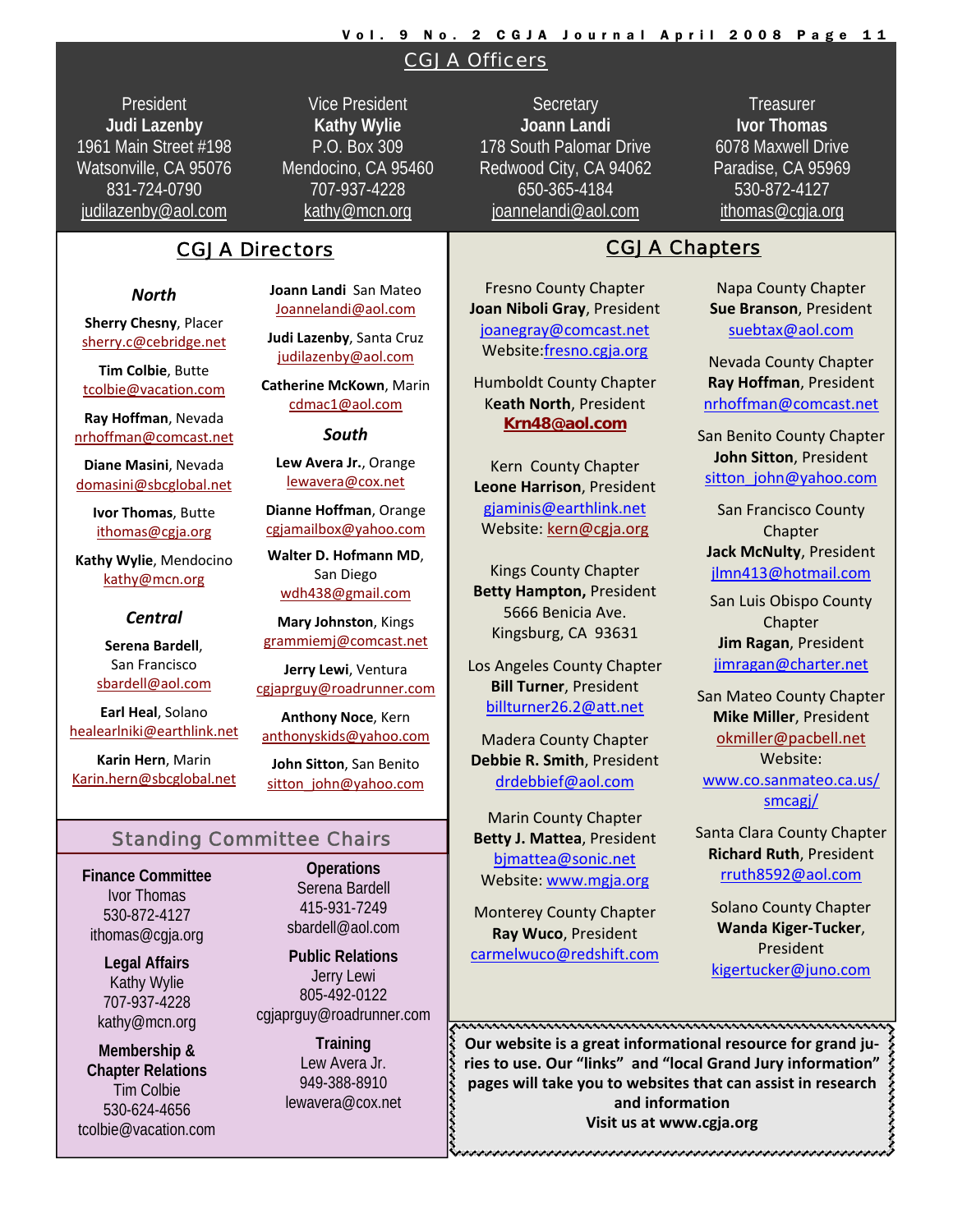#### Vol. 9 No. 2 CGJA Journal April 2008 Page 11

#### CGJA Officers

President **Judi Lazenby** 1961 Main Street #198 Watsonville, CA 95076 831-724-0790 judilazenby@aol.com

Vice President **Kathy Wylie** P.O. Box 309 Mendocino, CA 95460 707-937-4228 kathy@mcn.org

#### CGJA Directors **CGJA Chapters**

#### *North*

**Sherry Chesny**, Placer sherry.c@cebridge.net

**Tim Colbie**, Butte tcolbie@vacation.com

**Ray Hoffman**, Nevada nrhoffman@comcast.net

**Diane Masini**, Nevada domasini@sbcglobal.net

> **Ivor Thomas**, Butte ithomas@cgja.org

**Kathy Wylie**, Mendocino kathy@mcn.org

#### *Central*

**Serena Bardell**, San Francisco sbardell@aol.com

**Earl Heal**, Solano healearlniki@earthlink.net

**Karin Hern**, Marin Karin.hern@sbcglobal.net **Joann Landi** San Mateo Joannelandi@aol.com

**Judi Lazenby**, Santa Cruz judilazenby@aol.com

**Catherine McKown**, Marin cdmac1@aol.com

*South*

**Lew Avera Jr.**, Orange lewavera@cox.net

**Dianne Hoffman**, Orange cgjamailbox@yahoo.com

**Walter D. Hofmann MD**, San Diego wdh438@gmail.com

**Mary Johnston**, Kings grammiemj@comcast.net

**Jerry Lewi**, Ventura cgjaprguy@roadrunner.com

**Anthony Noce**, Kern anthonyskids@yahoo.com

**John Sitton**, San Benito sitton\_john@yahoo.com

#### Standing Committee Chairs

**Finance Committee**  Ivor Thomas 530-872-4127 ithomas@cgja.org

> **Legal Affairs**  Kathy Wylie 707-937-4228 kathy@mcn.org

**Membership & Chapter Relations**  Tim Colbie 530-624-4656 tcolbie@vacation.com

**Operations**  Serena Bardell 415-931-7249 sbardell@aol.com

**Public Relations**  Jerry Lewi 805-492-0122 cgjaprguy@roadrunner.com

> **Training**  Lew Avera Jr. 949-388-8910 lewavera@cox.net

**Secretary Joann Landi** 178 South Palomar Drive Redwood City, CA 94062 650-365-4184 joannelandi@aol.com

**Treasurer Ivor Thomas** 6078 Maxwell Drive Paradise, CA 95969 530-872-4127 ithomas@cgja.org

Fresno County Chapter **Joan Niboli Gray**, President joanegray@comcast.net Website:fresno.cgja.org

Humboldt County Chapter K**eath North**, President **Krn48@aol.com**

Kern County Chapter **Leone Harrison**, President gjaminis@earthlink.net Website: kern@cgja.org

Kings County Chapter **Betty Hampton,** President 5666 Benicia Ave. Kingsburg, CA 93631

Los Angeles County Chapter **Bill Turner**, President billturner26.2@att.net

Madera County Chapter **Debbie R. Smith**, President drdebbief@aol.com

Marin County Chapter **Betty J. Mattea**, President bjmattea@sonic.net Website: www.mgja.org

Monterey County Chapter **Ray Wuco**, President carmelwuco@redshift.com

#### Napa County Chapter **Sue Branson**, President suebtax@aol.com

Nevada County Chapter **Ray Hoffman**, President nrhoffman@comcast.net

San Benito County Chapter **John Sitton**, President sitton\_john@yahoo.com

San Francisco County Chapter **Jack McNulty**, President jlmn413@hotmail.com

San Luis Obispo County Chapter **Jim Ragan**, President jimragan@charter.net

San Mateo County Chapter **Mike Miller**, President okmiller@pacbell.net Website: www.co.sanmateo.ca.us/ smcagj/

Santa Clara County Chapter **Richard Ruth**, President rruth8592@aol.com

Solano County Chapter **Wanda Kiger‐Tucker**, President kigertucker@juno.com

**Our website is a great informational resource for grand ju‐ ries to use. Our "links" and "local Grand Jury information" pages** will take you to websites that can assist in research pages will take you to websites that can assist in research  $\leftarrow$  and information **and information Visit us at www.cgja.org**